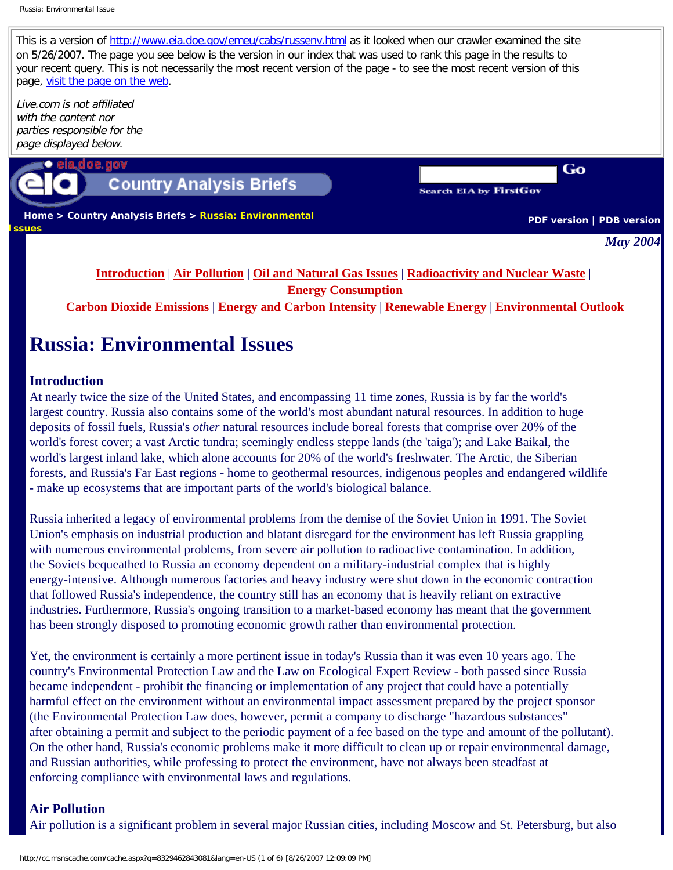This is a version of <http://www.eia.doe.gov/emeu/cabs/russenv.html> as it looked when our crawler examined the site on 5/26/2007. The page you see below is the version in our index that was used to rank this page in the results to your recent query. This is not necessarily the most recent version of the page - to see the most recent version of this page, [visit the page on the web](http://www.eia.doe.gov/emeu/cabs/russenv.html).

Live.com is not affiliated with the content nor parties responsible for the page displayed below.



## **Country Analysis Briefs**

|  |  | Search EIA by FirstGov |
|--|--|------------------------|
|--|--|------------------------|

 **[Home](http://eia.doe.gov/) > [Country Analysis Briefs](http://www.eia.doe.gov/emeu/cabs/contents.html) > Russia: Environmental Issues**

**[PDF version](http://www.eia.doe.gov/emeu/cabs/russenv.pdf)** | **[PDB version](http://www.eia.doe.gov/emeu/cabs/russenv.pdb)** 

Go

*May 2004*

## **[Introduction](http://www.eia.doe.gov/emeu/cabs/russenv.html#intro)** | **[Air Pollution](http://www.eia.doe.gov/emeu/cabs/russenv.html#airpoll)** | **[Oil and Natural Gas Issues](http://www.eia.doe.gov/emeu/cabs/russenv.html#oilpoll)** | **[Radioactivity and Nuclear Waste](http://www.eia.doe.gov/emeu/cabs/russenv.html#nucwaste)** | **[Energy Consumption](http://www.eia.doe.gov/emeu/cabs/russenv.html#enerconsump) [Carbon Dioxide Emissions](http://www.eia.doe.gov/emeu/cabs/russenv.html#carbemis) | [Energy and Carbon Intensity](http://www.eia.doe.gov/emeu/cabs/russenv.html#enerandcarb)** | **[Renewable Energy](http://www.eia.doe.gov/emeu/cabs/russenv.html#renew)** | **[Environmental Outlook](http://www.eia.doe.gov/emeu/cabs/russenv.html#outlook)**

# **Russia: Environmental Issues**

### **Introduction**

At nearly twice the size of the United States, and encompassing 11 time zones, Russia is by far the world's largest country. Russia also contains some of the world's most abundant natural resources. In addition to huge deposits of fossil fuels, Russia's *other* natural resources include boreal forests that comprise over 20% of the world's forest cover; a vast Arctic tundra; seemingly endless steppe lands (the 'taiga'); and Lake Baikal, the world's largest inland lake, which alone accounts for 20% of the world's freshwater. The Arctic, the Siberian forests, and Russia's Far East regions - home to geothermal resources, indigenous peoples and endangered wildlife - make up ecosystems that are important parts of the world's biological balance.

Russia inherited a legacy of environmental problems from the demise of the Soviet Union in 1991. The Soviet Union's emphasis on industrial production and blatant disregard for the environment has left Russia grappling with numerous environmental problems, from severe air pollution to radioactive contamination. In addition, the Soviets bequeathed to Russia an economy dependent on a military-industrial complex that is highly energy-intensive. Although numerous factories and heavy industry were shut down in the economic contraction that followed Russia's independence, the country still has an economy that is heavily reliant on extractive industries. Furthermore, Russia's ongoing transition to a market-based economy has meant that the government has been strongly disposed to promoting economic growth rather than environmental protection.

Yet, the environment is certainly a more pertinent issue in today's Russia than it was even 10 years ago. The country's Environmental Protection Law and the Law on Ecological Expert Review - both passed since Russia became independent - prohibit the financing or implementation of any project that could have a potentially harmful effect on the environment without an environmental impact assessment prepared by the project sponsor (the Environmental Protection Law does, however, permit a company to discharge "hazardous substances" after obtaining a permit and subject to the periodic payment of a fee based on the type and amount of the pollutant). On the other hand, Russia's economic problems make it more difficult to clean up or repair environmental damage, and Russian authorities, while professing to protect the environment, have not always been steadfast at enforcing compliance with environmental laws and regulations.

## **Air Pollution**

Air pollution is a significant problem in several major Russian cities, including Moscow and St. Petersburg, but also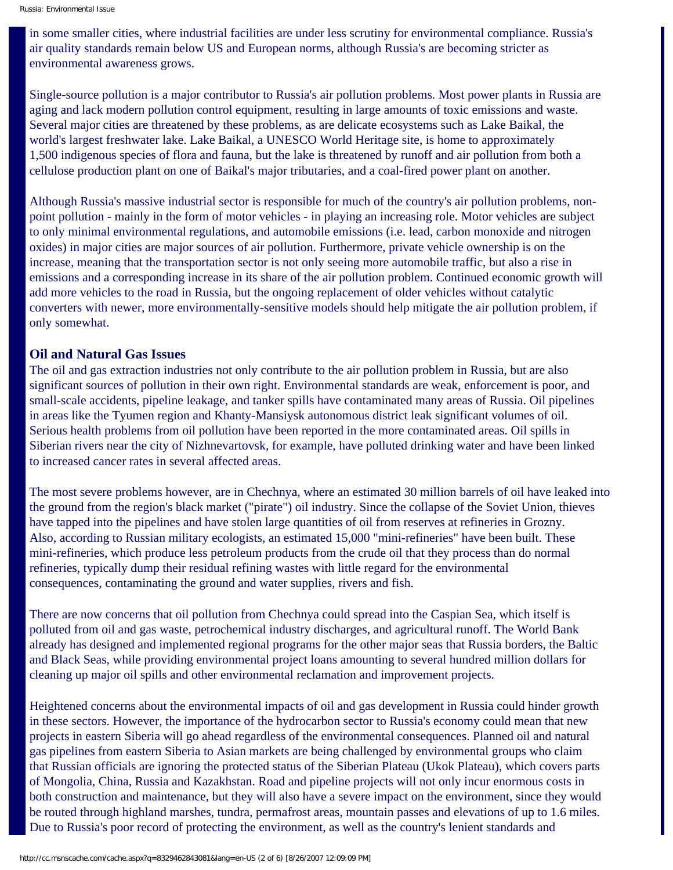in some smaller cities, where industrial facilities are under less scrutiny for environmental compliance. Russia's air quality standards remain below US and European norms, although Russia's are becoming stricter as environmental awareness grows.

Single-source pollution is a major contributor to Russia's air pollution problems. Most power plants in Russia are aging and lack modern pollution control equipment, resulting in large amounts of toxic emissions and waste. Several major cities are threatened by these problems, as are delicate ecosystems such as Lake Baikal, the world's largest freshwater lake. Lake Baikal, a UNESCO World Heritage site, is home to approximately 1,500 indigenous species of flora and fauna, but the lake is threatened by runoff and air pollution from both a cellulose production plant on one of Baikal's major tributaries, and a coal-fired power plant on another.

Although Russia's massive industrial sector is responsible for much of the country's air pollution problems, nonpoint pollution - mainly in the form of motor vehicles - in playing an increasing role. Motor vehicles are subject to only minimal environmental regulations, and automobile emissions (i.e. lead, carbon monoxide and nitrogen oxides) in major cities are major sources of air pollution. Furthermore, private vehicle ownership is on the increase, meaning that the transportation sector is not only seeing more automobile traffic, but also a rise in emissions and a corresponding increase in its share of the air pollution problem. Continued economic growth will add more vehicles to the road in Russia, but the ongoing replacement of older vehicles without catalytic converters with newer, more environmentally-sensitive models should help mitigate the air pollution problem, if only somewhat.

#### **Oil and Natural Gas Issues**

The oil and gas extraction industries not only contribute to the air pollution problem in Russia, but are also significant sources of pollution in their own right. Environmental standards are weak, enforcement is poor, and small-scale accidents, pipeline leakage, and tanker spills have contaminated many areas of Russia. Oil pipelines in areas like the Tyumen region and Khanty-Mansiysk autonomous district leak significant volumes of oil. Serious health problems from oil pollution have been reported in the more contaminated areas. Oil spills in Siberian rivers near the city of Nizhnevartovsk, for example, have polluted drinking water and have been linked to increased cancer rates in several affected areas.

The most severe problems however, are in Chechnya, where an estimated 30 million barrels of oil have leaked into the ground from the region's black market ("pirate") oil industry. Since the collapse of the Soviet Union, thieves have tapped into the pipelines and have stolen large quantities of oil from reserves at refineries in Grozny. Also, according to Russian military ecologists, an estimated 15,000 "mini-refineries" have been built. These mini-refineries, which produce less petroleum products from the crude oil that they process than do normal refineries, typically dump their residual refining wastes with little regard for the environmental consequences, contaminating the ground and water supplies, rivers and fish.

There are now concerns that oil pollution from Chechnya could spread into the Caspian Sea, which itself is polluted from oil and gas waste, petrochemical industry discharges, and agricultural runoff. The World Bank already has designed and implemented regional programs for the other major seas that Russia borders, the Baltic and Black Seas, while providing environmental project loans amounting to several hundred million dollars for cleaning up major oil spills and other environmental reclamation and improvement projects.

Heightened concerns about the environmental impacts of oil and gas development in Russia could hinder growth in these sectors. However, the importance of the hydrocarbon sector to Russia's economy could mean that new projects in eastern Siberia will go ahead regardless of the environmental consequences. Planned oil and natural gas pipelines from eastern Siberia to Asian markets are being challenged by environmental groups who claim that Russian officials are ignoring the protected status of the Siberian Plateau (Ukok Plateau), which covers parts of Mongolia, China, Russia and Kazakhstan. Road and pipeline projects will not only incur enormous costs in both construction and maintenance, but they will also have a severe impact on the environment, since they would be routed through highland marshes, tundra, permafrost areas, mountain passes and elevations of up to 1.6 miles. Due to Russia's poor record of protecting the environment, as well as the country's lenient standards and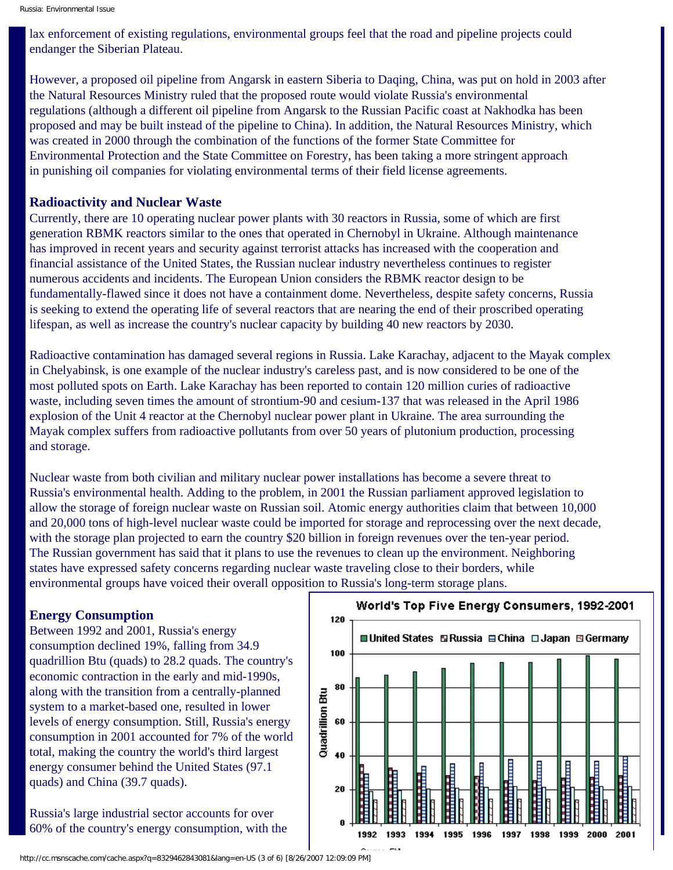lax enforcement of existing regulations, environmental groups feel that the road and pipeline projects could endanger the Siberian Plateau.

However, a proposed oil pipeline from Angarsk in eastern Siberia to Daqing, China, was put on hold in 2003 after the Natural Resources Ministry ruled that the proposed route would violate Russia's environmental regulations (although a different oil pipeline from Angarsk to the Russian Pacific coast at Nakhodka has been proposed and may be built instead of the pipeline to China). In addition, the Natural Resources Ministry, which was created in 2000 through the combination of the functions of the former State Committee for Environmental Protection and the State Committee on Forestry, has been taking a more stringent approach in punishing oil companies for violating environmental terms of their field license agreements.

#### **Radioactivity and Nuclear Waste**

Currently, there are 10 operating nuclear power plants with 30 reactors in Russia, some of which are first generation RBMK reactors similar to the ones that operated in Chernobyl in Ukraine. Although maintenance has improved in recent years and security against terrorist attacks has increased with the cooperation and financial assistance of the United States, the Russian nuclear industry nevertheless continues to register numerous accidents and incidents. The European Union considers the RBMK reactor design to be fundamentally-flawed since it does not have a containment dome. Nevertheless, despite safety concerns, Russia is seeking to extend the operating life of several reactors that are nearing the end of their proscribed operating lifespan, as well as increase the country's nuclear capacity by building 40 new reactors by 2030.

Radioactive contamination has damaged several regions in Russia. Lake Karachay, adjacent to the Mayak complex in Chelyabinsk, is one example of the nuclear industry's careless past, and is now considered to be one of the most polluted spots on Earth. Lake Karachay has been reported to contain 120 million curies of radioactive waste, including seven times the amount of strontium-90 and cesium-137 that was released in the April 1986 explosion of the Unit 4 reactor at the Chernobyl nuclear power plant in Ukraine. The area surrounding the Mayak complex suffers from radioactive pollutants from over 50 years of plutonium production, processing and storage.

Nuclear waste from both civilian and military nuclear power installations has become a severe threat to Russia's environmental health. Adding to the problem, in 2001 the Russian parliament approved legislation to allow the storage of foreign nuclear waste on Russian soil. Atomic energy authorities claim that between 10,000 and 20,000 tons of high-level nuclear waste could be imported for storage and reprocessing over the next decade, with the storage plan projected to earn the country \$20 billion in foreign revenues over the ten-year period. The Russian government has said that it plans to use the revenues to clean up the environment. Neighboring states have expressed safety concerns regarding nuclear waste traveling close to their borders, while environmental groups have voiced their overall opposition to Russia's long-term storage plans.

#### **Energy Consumption**

Between 1992 and 2001, Russia's energy consumption declined 19%, falling from 34.9 quadrillion Btu (quads) to 28.2 quads. The country's economic contraction in the early and mid-1990s, along with the transition from a centrally-planned system to a market-based one, resulted in lower levels of energy consumption. Still, Russia's energy consumption in 2001 accounted for 7% of the world total, making the country the world's third largest energy consumer behind the United States (97.1 quads) and China (39.7 quads).

Russia's large industrial sector accounts for over 60% of the country's energy consumption, with the



http://cc.msnscache.com/cache.aspx?q=8329462843081&lang=en-US (3 of 6) [8/26/2007 12:09:09 PM]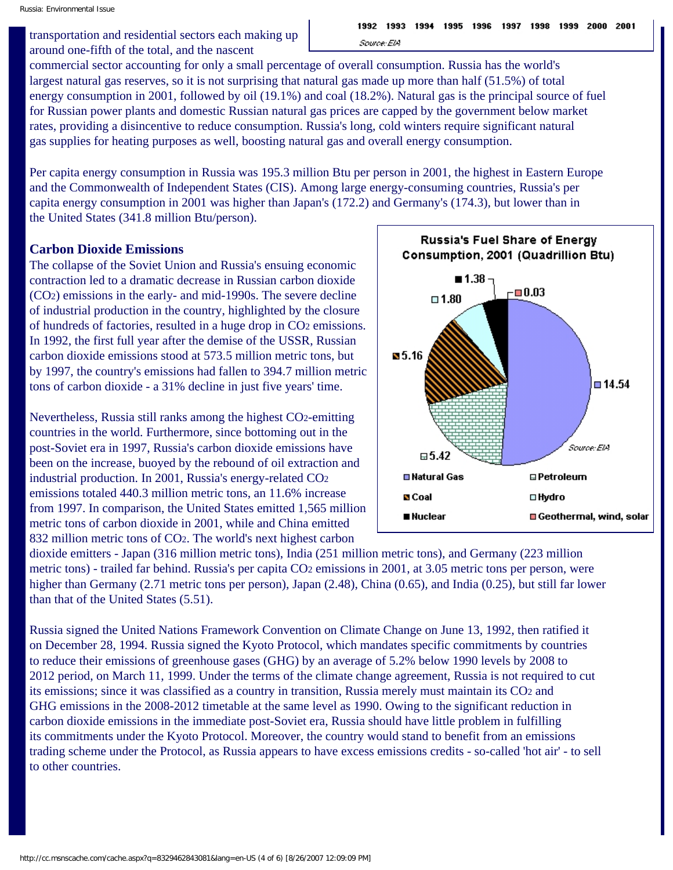transportation and residential sectors each making up around one-fifth of the total, and the nascent

commercial sector accounting for only a small percentage of overall consumption. Russia has the world's largest natural gas reserves, so it is not surprising that natural gas made up more than half (51.5%) of total energy consumption in 2001, followed by oil (19.1%) and coal (18.2%). Natural gas is the principal source of fuel for Russian power plants and domestic Russian natural gas prices are capped by the government below market rates, providing a disincentive to reduce consumption. Russia's long, cold winters require significant natural gas supplies for heating purposes as well, boosting natural gas and overall energy consumption.

Per capita energy consumption in Russia was 195.3 million Btu per person in 2001, the highest in Eastern Europe and the Commonwealth of Independent States (CIS). Among large energy-consuming countries, Russia's per capita energy consumption in 2001 was higher than Japan's (172.2) and Germany's (174.3), but lower than in the United States (341.8 million Btu/person).

#### **Carbon Dioxide Emissions**

The collapse of the Soviet Union and Russia's ensuing economic contraction led to a dramatic decrease in Russian carbon dioxide (CO2) emissions in the early- and mid-1990s. The severe decline of industrial production in the country, highlighted by the closure of hundreds of factories, resulted in a huge drop in CO2 emissions. In 1992, the first full year after the demise of the USSR, Russian carbon dioxide emissions stood at 573.5 million metric tons, but by 1997, the country's emissions had fallen to 394.7 million metric tons of carbon dioxide - a 31% decline in just five years' time.

Nevertheless, Russia still ranks among the highest CO2-emitting countries in the world. Furthermore, since bottoming out in the post-Soviet era in 1997, Russia's carbon dioxide emissions have been on the increase, buoyed by the rebound of oil extraction and industrial production. In 2001, Russia's energy-related CO2 emissions totaled 440.3 million metric tons, an 11.6% increase from 1997. In comparison, the United States emitted 1,565 million metric tons of carbon dioxide in 2001, while and China emitted 832 million metric tons of CO2. The world's next highest carbon



dioxide emitters - Japan (316 million metric tons), India (251 million metric tons), and Germany (223 million metric tons) - trailed far behind. Russia's per capita CO2 emissions in 2001, at 3.05 metric tons per person, were higher than Germany (2.71 metric tons per person), Japan (2.48), China (0.65), and India (0.25), but still far lower than that of the United States (5.51).

Russia signed the United Nations Framework Convention on Climate Change on June 13, 1992, then ratified it on December 28, 1994. Russia signed the Kyoto Protocol, which mandates specific commitments by countries to reduce their emissions of greenhouse gases (GHG) by an average of 5.2% below 1990 levels by 2008 to 2012 period, on March 11, 1999. Under the terms of the climate change agreement, Russia is not required to cut its emissions; since it was classified as a country in transition, Russia merely must maintain its CO2 and GHG emissions in the 2008-2012 timetable at the same level as 1990. Owing to the significant reduction in carbon dioxide emissions in the immediate post-Soviet era, Russia should have little problem in fulfilling its commitments under the Kyoto Protocol. Moreover, the country would stand to benefit from an emissions trading scheme under the Protocol, as Russia appears to have excess emissions credits - so-called 'hot air' - to sell to other countries.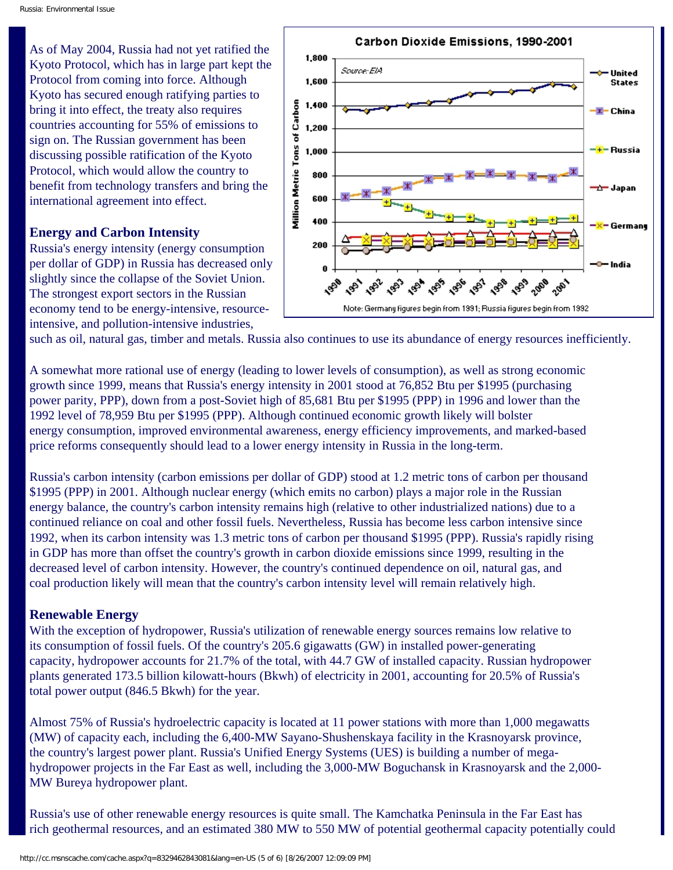As of May 2004, Russia had not yet ratified the Kyoto Protocol, which has in large part kept the Protocol from coming into force. Although Kyoto has secured enough ratifying parties to bring it into effect, the treaty also requires countries accounting for 55% of emissions to sign on. The Russian government has been discussing possible ratification of the Kyoto Protocol, which would allow the country to benefit from technology transfers and bring the international agreement into effect.

#### **Energy and Carbon Intensity**

Russia's energy intensity (energy consumption per dollar of GDP) in Russia has decreased only slightly since the collapse of the Soviet Union. The strongest export sectors in the Russian economy tend to be energy-intensive, resourceintensive, and pollution-intensive industries,



such as oil, natural gas, timber and metals. Russia also continues to use its abundance of energy resources inefficiently.

A somewhat more rational use of energy (leading to lower levels of consumption), as well as strong economic growth since 1999, means that Russia's energy intensity in 2001 stood at 76,852 Btu per \$1995 (purchasing power parity, PPP), down from a post-Soviet high of 85,681 Btu per \$1995 (PPP) in 1996 and lower than the 1992 level of 78,959 Btu per \$1995 (PPP). Although continued economic growth likely will bolster energy consumption, improved environmental awareness, energy efficiency improvements, and marked-based price reforms consequently should lead to a lower energy intensity in Russia in the long-term.

Russia's carbon intensity (carbon emissions per dollar of GDP) stood at 1.2 metric tons of carbon per thousand \$1995 (PPP) in 2001. Although nuclear energy (which emits no carbon) plays a major role in the Russian energy balance, the country's carbon intensity remains high (relative to other industrialized nations) due to a continued reliance on coal and other fossil fuels. Nevertheless, Russia has become less carbon intensive since 1992, when its carbon intensity was 1.3 metric tons of carbon per thousand \$1995 (PPP). Russia's rapidly rising in GDP has more than offset the country's growth in carbon dioxide emissions since 1999, resulting in the decreased level of carbon intensity. However, the country's continued dependence on oil, natural gas, and coal production likely will mean that the country's carbon intensity level will remain relatively high.

#### **Renewable Energy**

With the exception of hydropower, Russia's utilization of renewable energy sources remains low relative to its consumption of fossil fuels. Of the country's 205.6 gigawatts (GW) in installed power-generating capacity, hydropower accounts for 21.7% of the total, with 44.7 GW of installed capacity. Russian hydropower plants generated 173.5 billion kilowatt-hours (Bkwh) of electricity in 2001, accounting for 20.5% of Russia's total power output (846.5 Bkwh) for the year.

Almost 75% of Russia's hydroelectric capacity is located at 11 power stations with more than 1,000 megawatts (MW) of capacity each, including the 6,400-MW Sayano-Shushenskaya facility in the Krasnoyarsk province, the country's largest power plant. Russia's Unified Energy Systems (UES) is building a number of megahydropower projects in the Far East as well, including the 3,000-MW Boguchansk in Krasnoyarsk and the 2,000- MW Bureya hydropower plant.

Russia's use of other renewable energy resources is quite small. The Kamchatka Peninsula in the Far East has rich geothermal resources, and an estimated 380 MW to 550 MW of potential geothermal capacity potentially could